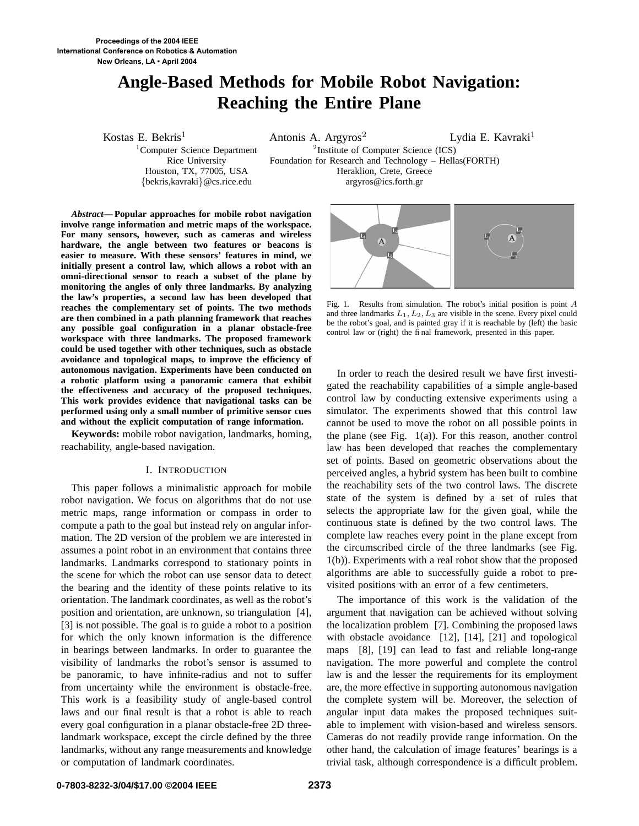# **Angle-Based Methods for Mobile Robot Navigation: Reaching the Entire Plane**

 $1$ Computer Science Department Houston, TX, 77005, USA {bekris,kavraki}@cs.rice.edu argyros@ics.forth.gr

Kostas E. Bekris<sup>1</sup> Antonis A. Argyros<sup>2</sup> Lydia E. Kavraki<sup>1</sup>  $2$ Institute of Computer Science (ICS) Rice University Foundation for Research and Technology – Hellas(FORTH)<br>ton, TX, 77005, USA Heraklion, Crete, Greece

*Abstract***— Popular approaches for mobile robot navigation involve range information and metric maps of the workspace. For many sensors, however, such as cameras and wireless hardware, the angle between two features or beacons is easier to measure. With these sensors' features in mind, we initially present a control law, which allows a robot with an omni-directional sensor to reach a subset of the plane by monitoring the angles of only three landmarks. By analyzing the law's properties, a second law has been developed that reaches the complementary set of points. The two methods are then combined in a path planning framework that reaches any possible goal configuration in a planar obstacle-free workspace with three landmarks. The proposed framework could be used together with other techniques, such as obstacle avoidance and topological maps, to improve the efficiency of autonomous navigation. Experiments have been conducted on a robotic platform using a panoramic camera that exhibit the effectiveness and accuracy of the proposed techniques. This work provides evidence that navigational tasks can be performed using only a small number of primitive sensor cues and without the explicit computation of range information.**

**Keywords:** mobile robot navigation, landmarks, homing, reachability, angle-based navigation.

## I. INTRODUCTION

This paper follows a minimalistic approach for mobile robot navigation. We focus on algorithms that do not use metric maps, range information or compass in order to compute a path to the goal but instead rely on angular information. The 2D version of the problem we are interested in assumes a point robot in an environment that contains three landmarks. Landmarks correspond to stationary points in the scene for which the robot can use sensor data to detect the bearing and the identity of these points relative to its orientation. The landmark coordinates, as well as the robot's position and orientation, are unknown, so triangulation [4], [3] is not possible. The goal is to guide a robot to a position for which the only known information is the difference in bearings between landmarks. In order to guarantee the visibility of landmarks the robot's sensor is assumed to be panoramic, to have infinite-radius and not to suffer from uncertainty while the environment is obstacle-free. This work is a feasibility study of angle-based control laws and our final result is that a robot is able to reach every goal configuration in a planar obstacle-free 2D threelandmark workspace, except the circle defined by the three landmarks, without any range measurements and knowledge or computation of landmark coordinates.



Fig. 1. Results from simulation. The robot's initial position is point A and three landmarks  $L_1, L_2, L_3$  are visible in the scene. Every pixel could be the robot's goal, and is painted gray if it is reachable by (left) the basic control law or (right) the final framework, presented in this paper.

In order to reach the desired result we have first investigated the reachability capabilities of a simple angle-based control law by conducting extensive experiments using a simulator. The experiments showed that this control law cannot be used to move the robot on all possible points in the plane (see Fig. 1(a)). For this reason, another control law has been developed that reaches the complementary set of points. Based on geometric observations about the perceived angles, a hybrid system has been built to combine the reachability sets of the two control laws. The discrete state of the system is defined by a set of rules that selects the appropriate law for the given goal, while the continuous state is defined by the two control laws. The complete law reaches every point in the plane except from the circumscribed circle of the three landmarks (see Fig. 1(b)). Experiments with a real robot show that the proposed algorithms are able to successfully guide a robot to previsited positions with an error of a few centimeters.

The importance of this work is the validation of the argument that navigation can be achieved without solving the localization problem [7]. Combining the proposed laws with obstacle avoidance [12], [14], [21] and topological maps [8], [19] can lead to fast and reliable long-range navigation. The more powerful and complete the control law is and the lesser the requirements for its employment are, the more effective in supporting autonomous navigation the complete system will be. Moreover, the selection of angular input data makes the proposed techniques suitable to implement with vision-based and wireless sensors. Cameras do not readily provide range information. On the other hand, the calculation of image features' bearings is a trivial task, although correspondence is a difficult problem.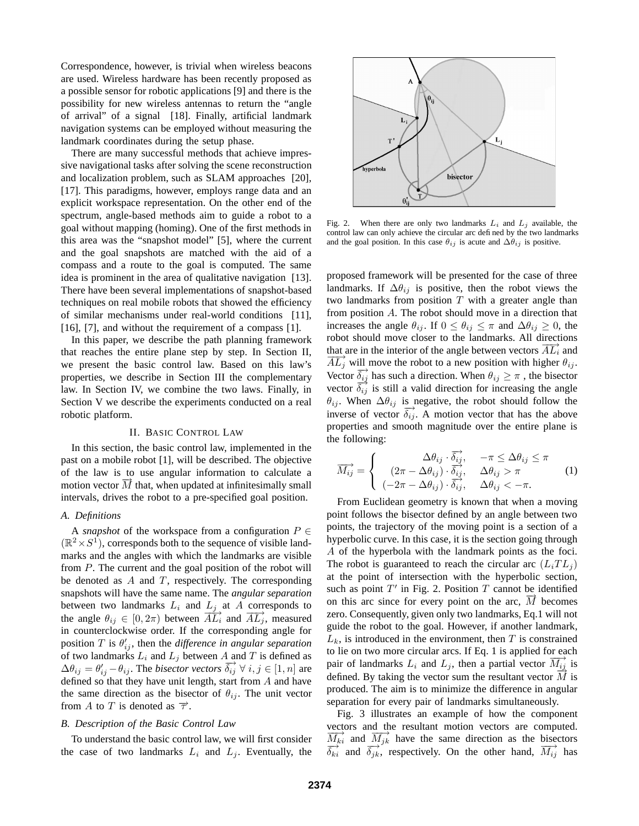Correspondence, however, is trivial when wireless beacons are used. Wireless hardware has been recently proposed as a possible sensor for robotic applications [9] and there is the possibility for new wireless antennas to return the "angle of arrival" of a signal [18]. Finally, artificial landmark navigation systems can be employed without measuring the landmark coordinates during the setup phase.

There are many successful methods that achieve impressive navigational tasks after solving the scene reconstruction and localization problem, such as SLAM approaches [20], [17]. This paradigms, however, employs range data and an explicit workspace representation. On the other end of the spectrum, angle-based methods aim to guide a robot to a goal without mapping (homing). One of the first methods in this area was the "snapshot model" [5], where the current and the goal snapshots are matched with the aid of a compass and a route to the goal is computed. The same idea is prominent in the area of qualitative navigation [13]. There have been several implementations of snapshot-based techniques on real mobile robots that showed the efficiency of similar mechanisms under real-world conditions [11], [16], [7], and without the requirement of a compass [1].

In this paper, we describe the path planning framework that reaches the entire plane step by step. In Section II, we present the basic control law. Based on this law's properties, we describe in Section III the complementary law. In Section IV, we combine the two laws. Finally, in Section V we describe the experiments conducted on a real robotic platform.

## II. BASIC CONTROL LAW

In this section, the basic control law, implemented in the past on a mobile robot [1], will be described. The objective of the law is to use angular information to calculate a  $\frac{M}{M}$  that, when updated at infinitesimally small intervals, drives the robot to a pre-specified goal position.

# *A. Definitions*

A *snapshot* of the workspace from a configuration  $P \in$  $(\mathbb{R}^2 \times S^1)$ , corresponds both to the sequence of visible landmarks and the angles with which the landmarks are visible from P. The current and the goal position of the robot will be denoted as  $A$  and  $T$ , respectively. The corresponding snapshots will have the same name. The *angular separation* between two landmarks  $L_i$  and  $L_j$  at A corresponds to the angle  $\theta_{ij} \in [0, 2\pi)$  between  $\overrightarrow{AL_i}$  and  $\overrightarrow{AL_j}$ , measured in counterclockwise order. If the corresponding angle for position T is  $\theta'_{ij}$ , then the *difference* in *angular separation* of two landmarks  $L_i$  and  $L_j$  between A and T is defined as  $\Delta \theta_{ij} = \theta'_{ij} - \theta_{ij}$ . The *bisector vectors*  $\overline{\delta_{ij}} \forall i, j \in [1, n]$  are defined so that they have unit length, start from A and have the same direction as the bisector of  $\theta_{ij}$ . The unit vector from A to T is denoted as  $\overrightarrow{\tau}$ .

# *B. Description of the Basic Control Law*

To understand the basic control law, we will first consider the case of two landmarks  $L_i$  and  $L_j$ . Eventually, the



Fig. 2. When there are only two landmarks  $L_i$  and  $L_j$  available, the control law can only achieve the circular arc defined by the two landmarks and the goal position. In this case  $\theta_{ij}$  is acute and  $\Delta \theta_{ij}$  is positive.

proposed framework will be presented for the case of three landmarks. If  $\Delta\theta_{ij}$  is positive, then the robot views the two landmarks from position  $T$  with a greater angle than from position A. The robot should move in a direction that increases the angle  $\theta_{ij}$ . If  $0 \leq \theta_{ij} \leq \pi$  and  $\Delta \theta_{ij} \geq 0$ , the robot should move closer to the landmarks. All directions that are in the interior of the angle between vectors  $\overline{AL_i}$  and  $\overline{AL}_j$  will move the robot to a new position with higher  $\theta_{ij}$ . Vector  $\overrightarrow{\delta_{ij}}$  has such a direction. When  $\theta_{ij} \geq \pi$ , the bisector vector  $\overline{\delta_{ij}}$  is still a valid direction for increasing the angle  $\theta_{ij}$ . When  $\Delta \theta_{ij}$  is negative, the robot should follow the inverse of vector  $\overrightarrow{\delta_{ij}}$ . A motion vector that has the above properties and smooth magnitude over the entire plane is the following:

$$
\overrightarrow{M_{ij}} = \begin{cases}\n\Delta \theta_{ij} \cdot \overrightarrow{\delta_{ij}}, & -\pi \leq \Delta \theta_{ij} \leq \pi \\
(2\pi - \Delta \theta_{ij}) \cdot \overrightarrow{\delta_{ij}}, & \Delta \theta_{ij} > \pi \\
(-2\pi - \Delta \theta_{ij}) \cdot \overrightarrow{\delta_{ij}}, & \Delta \theta_{ij} < -\pi.\n\end{cases}
$$
\n(1)

From Euclidean geometry is known that when a moving point follows the bisector defined by an angle between two points, the trajectory of the moving point is a section of a hyperbolic curve. In this case, it is the section going through A of the hyperbola with the landmark points as the foci. The robot is guaranteed to reach the circular arc  $(L_iTL_i)$ at the point of intersection with the hyperbolic section, such as point  $T'$  in Fig. 2. Position  $T$  cannot be identified on this arc since for every point on the arc,  $\overrightarrow{M}$  becomes zero. Consequently, given only two landmarks, Eq.1 will not guide the robot to the goal. However, if another landmark,  $L_k$ , is introduced in the environment, then T is constrained to lie on two more circular arcs. If Eq. 1 is applied for each pair of landmarks  $L_i$  and  $L_j$ , then a partial vector  $\overline{M_{ij}}$  is defined. By taking the vector sum the resultant vector  $\overrightarrow{M}$  is defined. By taking the vector sum the resultant vector  $\overrightarrow{M}$  is produced. The aim is to minimize the difference in angular separation for every pair of landmarks simultaneously.

Fig. 3 illustrates an example of how the component vectors and the resultant motion vectors are computed.  $\overrightarrow{M_{ki}}$  and  $\overrightarrow{M_{jk}}$  have the same direction as the bisectors  $\overrightarrow{\delta_{ki}}$  and  $\overrightarrow{\delta_{ik}}$ , respectively. On the other hand,  $\overrightarrow{M_{ij}}$  has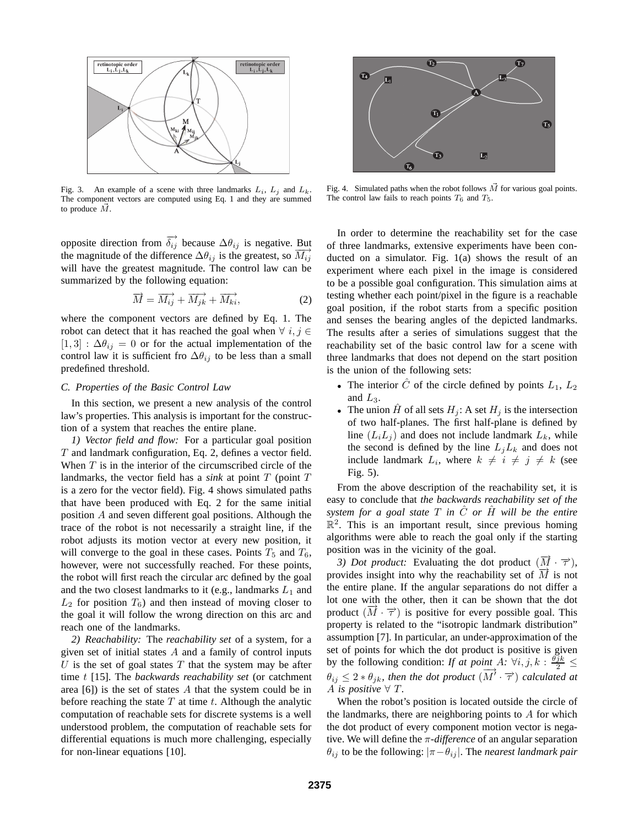

Fig. 3. An example of a scene with three landmarks  $L_i$ ,  $L_j$  and  $L_k$ . The component vectors are computed using Eq. 1 and they are summed to produce  $\dot{M}$ .

opposite direction from  $\overrightarrow{\delta_{ij}}$  because  $\Delta \theta_{ij}$  is negative. But the magnitude of the difference  $\Delta \theta_{ij}$  is the greatest, so  $\overline{M_{ij}}$ will have the greatest magnitude. The control law can be summarized by the following equation:

$$
\overrightarrow{M} = \overrightarrow{M_{ij}} + \overrightarrow{M_{jk}} + \overrightarrow{M_{ki}},
$$
\n(2)

where the component vectors are defined by Eq. 1. The robot can detect that it has reached the goal when  $\forall i, j \in$  $[1, 3]$ :  $\Delta \theta_{ij} = 0$  or for the actual implementation of the control law it is sufficient fro  $\Delta \theta_{ij}$  to be less than a small predefined threshold.

### *C. Properties of the Basic Control Law*

In this section, we present a new analysis of the control law's properties. This analysis is important for the construction of a system that reaches the entire plane.

*1) Vector field and flow:* For a particular goal position T and landmark configuration, Eq. 2, defines a vector field. When  $T$  is in the interior of the circumscribed circle of the landmarks, the vector field has a *sink* at point T (point T is a zero for the vector field). Fig. 4 shows simulated paths that have been produced with Eq. 2 for the same initial position A and seven different goal positions. Although the trace of the robot is not necessarily a straight line, if the robot adjusts its motion vector at every new position, it will converge to the goal in these cases. Points  $T_5$  and  $T_6$ , however, were not successfully reached. For these points, the robot will first reach the circular arc defined by the goal and the two closest landmarks to it (e.g., landmarks  $L_1$  and  $L_2$  for position  $T_6$ ) and then instead of moving closer to the goal it will follow the wrong direction on this arc and reach one of the landmarks.

*2) Reachability:* The *reachability set* of a system, for a given set of initial states A and a family of control inputs  $U$  is the set of goal states  $T$  that the system may be after time t [15]. The *backwards reachability set* (or catchment area [6]) is the set of states A that the system could be in before reaching the state  $T$  at time  $t$ . Although the analytic computation of reachable sets for discrete systems is a well understood problem, the computation of reachable sets for differential equations is much more challenging, especially for non-linear equations [10].



Fig. 4. Simulated paths when the robot follows  $\vec{M}$  for various goal points. The control law fails to reach points  $T_6$  and  $T_5$ .

In order to determine the reachability set for the case of three landmarks, extensive experiments have been conducted on a simulator. Fig. 1(a) shows the result of an experiment where each pixel in the image is considered to be a possible goal configuration. This simulation aims at testing whether each point/pixel in the figure is a reachable goal position, if the robot starts from a specific position and senses the bearing angles of the depicted landmarks. The results after a series of simulations suggest that the reachability set of the basic control law for a scene with three landmarks that does not depend on the start position is the union of the following sets:

- The interior  $\hat{C}$  of the circle defined by points  $L_1, L_2$ and  $L_3$ .
- The union H of all sets  $H_i$ : A set  $H_j$  is the intersection of two half-planes. The first half-plane is defined by line  $(L_i L_j)$  and does not include landmark  $L_k$ , while the second is defined by the line  $L<sub>i</sub>L<sub>k</sub>$  and does not include landmark  $L_i$ , where  $k \neq i \neq j \neq k$  (see Fig. 5).

From the above description of the reachability set, it is easy to conclude that *the backwards reachability set of the system* for a goal state T in  $\hat{C}$  or  $\hat{H}$  will be the entire  $\mathbb{R}^2$ . This is an important result, since previous homing algorithms were able to reach the goal only if the starting position was in the vicinity of the goal.

3) *Dot product:* Evaluating the dot product  $(\vec{M} \cdot \vec{\tau})$ , provides insight into why the reachability set of  $\overline{M}$  is not the entire plane. If the angular separations do not differ a lot one with the other, then it can be shown that the dot product  $(\overrightarrow{M} \cdot \overrightarrow{\tau})$  is positive for every possible goal. This property is related to the "isotropic landmark distribution" assumption [7]. In particular, an under-approximation of the set of points for which the dot product is positive is given by the following condition: *If at point*  $A: \forall i, j, k: \frac{\theta j k}{2} \leq$  $\theta_{ij} \leq 2 * \theta_{jk}$ , then the dot product  $(\overrightarrow{M}^j \cdot \overrightarrow{\tau})$  calculated at *A* is positive  $\forall$  T.

When the robot's position is located outside the circle of the landmarks, there are neighboring points to  $A$  for which the dot product of every component motion vector is negative. We will define the π*-difference* of an angular separation  $\theta_{ij}$  to be the following:  $|\pi - \theta_{ij}|$ . The *nearest landmark pair*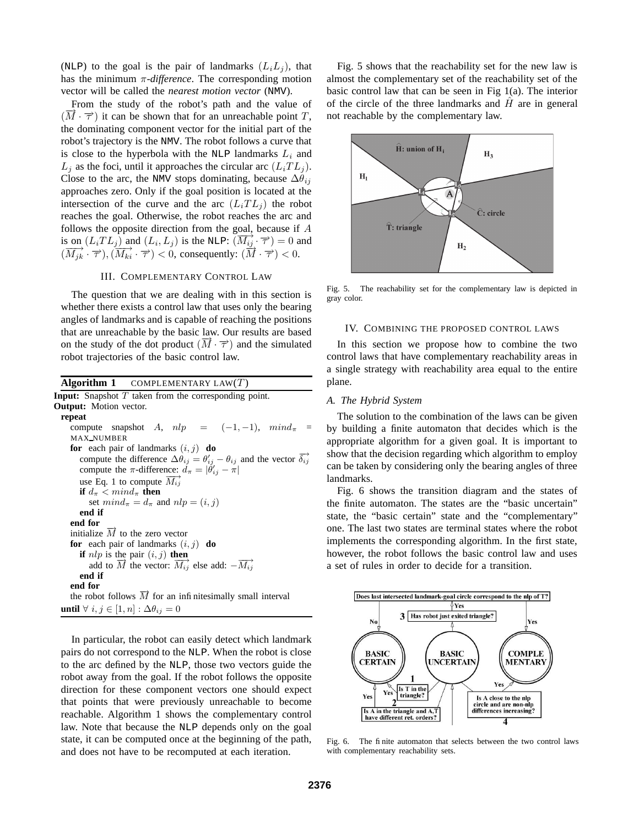(NLP) to the goal is the pair of landmarks  $(L_iL_j)$ , that has the minimum π*-difference*. The corresponding motion vector will be called the *nearest motion vector* (NMV).

From the study of the robot's path and the value of  $(\overrightarrow{M} \cdot \overrightarrow{\tau})$  it can be shown that for an unreachable point T, the dominating component vector for the initial part of the robot's trajectory is the NMV. The robot follows a curve that is close to the hyperbola with the NLP landmarks  $L_i$  and  $L_j$  as the foci, until it approaches the circular arc  $(L_iTL_j)$ . Close to the arc, the NMV stops dominating, because  $\Delta\theta_{ij}$ approaches zero. Only if the goal position is located at the intersection of the curve and the arc  $(L_iTL_j)$  the robot reaches the goal. Otherwise, the robot reaches the arc and follows the opposite direction from the goal, because if A is on  $(L_iTL_j)$  and  $(L_i, L_j)$  is the NLP:  $(\overline{M_{ij}} \cdot \overline{\tau}) = 0$  and  $(\overline{M}_{jk} \cdot \overrightarrow{\tau})$ ,  $(\overline{M}_{ki} \cdot \overrightarrow{\tau})$  < 0, consequently:  $(\overrightarrow{M} \cdot \overrightarrow{\tau})$  < 0.

# III. COMPLEMENTARY CONTROL LAW

The question that we are dealing with in this section is whether there exists a control law that uses only the bearing angles of landmarks and is capable of reaching the positions that are unreachable by the basic law. Our results are based on the study of the dot product  $(\vec{M} \cdot \vec{\tau})$  and the simulated robot trajectories of the basic control law.

| <b>Algorithm 1</b> COMPLEMENTARY LAW $(T)$                                                                             |
|------------------------------------------------------------------------------------------------------------------------|
| <b>Input:</b> Snapshot $T$ taken from the corresponding point.<br><b>Output:</b> Motion vector.                        |
| repeat                                                                                                                 |
| compute snapshot A, $nlp = (-1,-1)$ , $mind_{\pi}$ =                                                                   |
| <b>MAX_NUMBER</b>                                                                                                      |
| <b>for</b> each pair of landmarks $(i, j)$ <b>do</b>                                                                   |
| compute the difference $\Delta \theta_{ij} = \theta'_{ij} - \theta_{ij}$ and the vector $\overrightarrow{\delta_{ij}}$ |
| compute the $\pi$ -difference: $d_{\pi} =  \theta'_{ij} - \pi $                                                        |
| use Eq. 1 to compute $\overrightarrow{M_{ij}}$                                                                         |
| if $d_{\pi} < min d_{\pi}$ then                                                                                        |
| set $min d_{\pi} = d_{\pi}$ and $nlp = (i, j)$                                                                         |
| end if                                                                                                                 |
| end for                                                                                                                |
| initialize $\overrightarrow{M}$ to the zero vector                                                                     |
| <b>for</b> each pair of landmarks $(i, j)$ <b>do</b>                                                                   |
| if $nlp$ is the pair $(i, j)$ then                                                                                     |
| add to $\overrightarrow{M}$ the vector: $\overrightarrow{M_{ij}}$ else add: $-\overrightarrow{M_{ij}}$                 |
| end if                                                                                                                 |
| end for                                                                                                                |
| the robot follows $\overrightarrow{M}$ for an infinitesimally small interval                                           |
| <b>until</b> $\forall i, j \in [1, n] : \Delta \theta_{ij} = 0$                                                        |

In particular, the robot can easily detect which landmark pairs do not correspond to the NLP. When the robot is close to the arc defined by the NLP, those two vectors guide the robot away from the goal. If the robot follows the opposite direction for these component vectors one should expect that points that were previously unreachable to become reachable. Algorithm 1 shows the complementary control law. Note that because the NLP depends only on the goal state, it can be computed once at the beginning of the path, and does not have to be recomputed at each iteration.

Fig. 5 shows that the reachability set for the new law is almost the complementary set of the reachability set of the basic control law that can be seen in Fig  $1(a)$ . The interior of the circle of the three landmarks and  $\hat{H}$  are in general not reachable by the complementary law.



Fig. 5. The reachability set for the complementary law is depicted in gray color.

## IV. COMBINING THE PROPOSED CONTROL LAWS

In this section we propose how to combine the two control laws that have complementary reachability areas in a single strategy with reachability area equal to the entire plane.

### *A. The Hybrid System*

The solution to the combination of the laws can be given by building a finite automaton that decides which is the appropriate algorithm for a given goal. It is important to show that the decision regarding which algorithm to employ can be taken by considering only the bearing angles of three landmarks.

Fig. 6 shows the transition diagram and the states of the finite automaton. The states are the "basic uncertain" state, the "basic certain" state and the "complementary" one. The last two states are terminal states where the robot implements the corresponding algorithm. In the first state, however, the robot follows the basic control law and uses a set of rules in order to decide for a transition.



Fig. 6. The finite automaton that selects between the two control laws with complementary reachability sets.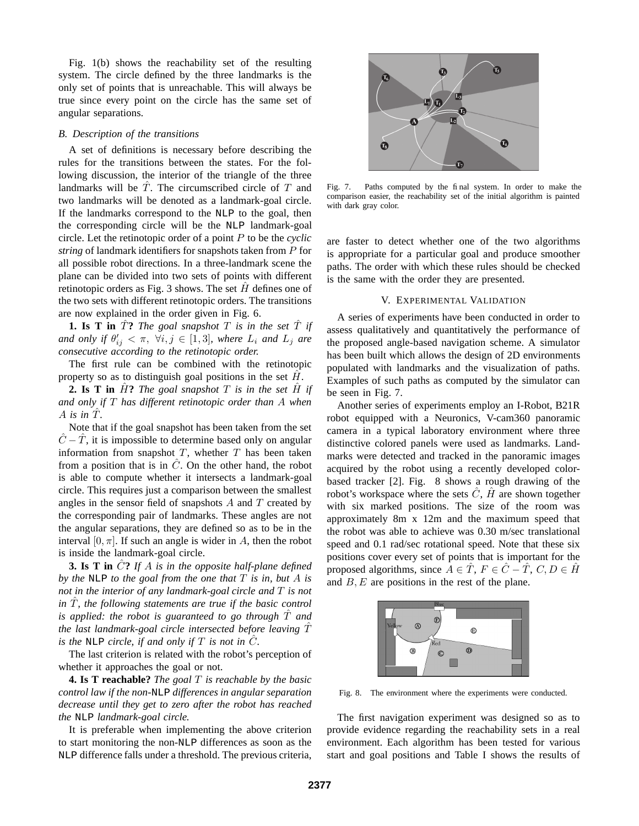Fig. 1(b) shows the reachability set of the resulting system. The circle defined by the three landmarks is the only set of points that is unreachable. This will always be true since every point on the circle has the same set of angular separations.

## *B. Description of the transitions*

A set of definitions is necessary before describing the rules for the transitions between the states. For the following discussion, the interior of the triangle of the three landmarks will be  $\hat{T}$ . The circumscribed circle of  $T$  and two landmarks will be denoted as a landmark-goal circle. If the landmarks correspond to the NLP to the goal, then the corresponding circle will be the NLP landmark-goal circle. Let the retinotopic order of a point P to be the *cyclic string* of landmark identifiers for snapshots taken from P for all possible robot directions. In a three-landmark scene the plane can be divided into two sets of points with different retinotopic orders as Fig. 3 shows. The set  $H$  defines one of the two sets with different retinotopic orders. The transitions are now explained in the order given in Fig. 6.

**1. Is T in**  $\hat{T}$ **?** *The goal snapshot*  $T$  *is in the set*  $\hat{T}$  *if* and only if  $\theta'_{ij} < \pi$ ,  $\forall i, j \in [1,3]$ , where  $L_i$  and  $L_j$  are *consecutive according to the retinotopic order.*

The first rule can be combined with the retinotopic property so as to distinguish goal positions in the set  $\hat{H}$ .

**2. Is T** in  $\hat{H}$ ? *The goal snapshot*  $T$  *is in the set*  $\hat{H}$  *if and only if* T *has different retinotopic order than* A *when*  $\overline{A}$  *is in T.* 

Note that if the goal snapshot has been taken from the set  $C-T$ , it is impossible to determine based only on angular information from snapshot  $T$ , whether  $T$  has been taken from a position that is in  $\overline{C}$ . On the other hand, the robot is able to compute whether it intersects a landmark-goal circle. This requires just a comparison between the smallest angles in the sensor field of snapshots  $A$  and  $T$  created by the corresponding pair of landmarks. These angles are not the angular separations, they are defined so as to be in the interval  $[0, \pi]$ . If such an angle is wider in A, then the robot is inside the landmark-goal circle.

**3. Is T in** Cˆ**?** *If* A *is in the opposite half-plane defined by the* NLP *to the goal from the one that* T *is in, but* A *is not in the interior of any landmark-goal circle and* T *is not in* Tˆ*, the following statements are true if the basic control is applied: the robot is guaranteed to go through* Tˆ *and the last landmark-goal circle intersected before leaving* Tˆ *is* the NLP *circle, if* and *only if*  $T$  *is not in*  $\tilde{C}$ *.* 

The last criterion is related with the robot's perception of whether it approaches the goal or not.

**4. Is T reachable?** *The goal* T *is reachable by the basic control law if the non-*NLP *differences in angular separation decrease until they get to zero after the robot has reached the* NLP *landmark-goal circle.*

It is preferable when implementing the above criterion to start monitoring the non-NLP differences as soon as the NLP difference falls under a threshold. The previous criteria,



Fig. 7. Paths computed by the final system. In order to make the comparison easier, the reachability set of the initial algorithm is painted with dark gray color.

are faster to detect whether one of the two algorithms is appropriate for a particular goal and produce smoother paths. The order with which these rules should be checked is the same with the order they are presented.

# V. EXPERIMENTAL VALIDATION

A series of experiments have been conducted in order to assess qualitatively and quantitatively the performance of the proposed angle-based navigation scheme. A simulator has been built which allows the design of 2D environments populated with landmarks and the visualization of paths. Examples of such paths as computed by the simulator can be seen in Fig. 7.

Another series of experiments employ an I-Robot, B21R robot equipped with a Neuronics, V-cam360 panoramic camera in a typical laboratory environment where three distinctive colored panels were used as landmarks. Landmarks were detected and tracked in the panoramic images acquired by the robot using a recently developed colorbased tracker [2]. Fig. 8 shows a rough drawing of the robot's workspace where the sets  $\hat{C}$ ,  $\hat{H}$  are shown together with six marked positions. The size of the room was approximately 8m x 12m and the maximum speed that the robot was able to achieve was 0.30 m/sec translational speed and 0.1 rad/sec rotational speed. Note that these six positions cover every set of points that is important for the proposed algorithms, since  $A \in \hat{T}$ ,  $F \in \hat{C} - \hat{T}$ ,  $C, D \in \hat{H}$ and  $B, E$  are positions in the rest of the plane.



Fig. 8. The environment where the experiments were conducted.

The first navigation experiment was designed so as to provide evidence regarding the reachability sets in a real environment. Each algorithm has been tested for various start and goal positions and Table I shows the results of